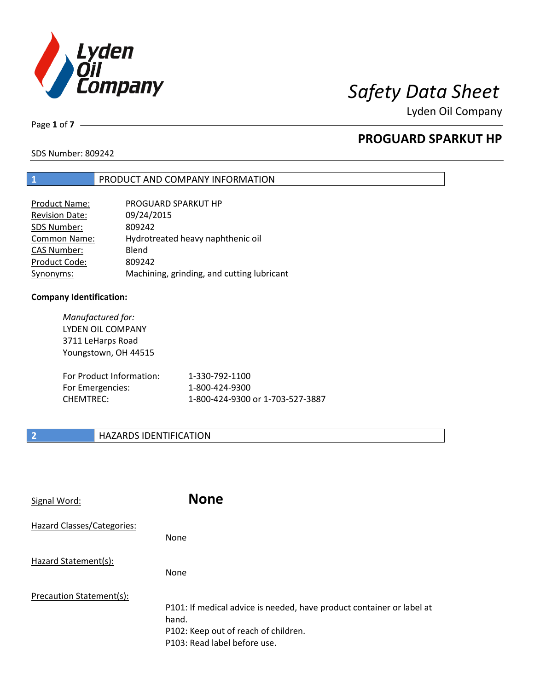

Page **1** of **7**

# **PROGUARD SPARKUT HP**

SDS Number: 809242

# **1** PRODUCT AND COMPANY INFORMATION

| PROGUARD SPARKUT HP                        |
|--------------------------------------------|
| 09/24/2015                                 |
| 809242                                     |
| Hydrotreated heavy naphthenic oil          |
| Blend                                      |
| 809242                                     |
| Machining, grinding, and cutting lubricant |
|                                            |

## **Company Identification:**

| Manufactured for:<br><b>LYDEN OIL COMPANY</b><br>3711 LeHarps Road<br>Youngstown, OH 44515 |                                  |
|--------------------------------------------------------------------------------------------|----------------------------------|
| For Product Information:                                                                   | 1-330-792-1100                   |
| For Emergencies:                                                                           | 1-800-424-9300                   |
| <b>CHEMTREC:</b>                                                                           | 1-800-424-9300 or 1-703-527-3887 |

# **2 HAZARDS IDENTIFICATION**

| Signal Word:               | <b>None</b>                                                                                                                                            |
|----------------------------|--------------------------------------------------------------------------------------------------------------------------------------------------------|
| Hazard Classes/Categories: | None                                                                                                                                                   |
| Hazard Statement(s):       | None                                                                                                                                                   |
| Precaution Statement(s):   | P101: If medical advice is needed, have product container or label at<br>hand.<br>P102: Keep out of reach of children.<br>P103: Read label before use. |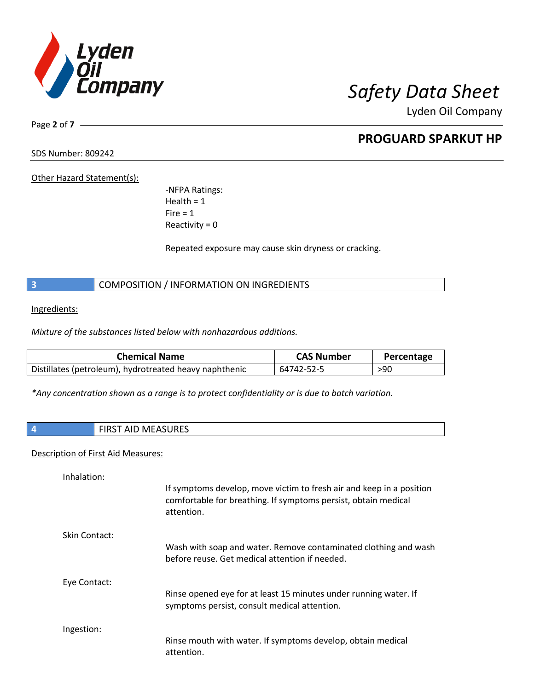

Page **2** of **7**

# **PROGUARD SPARKUT HP**

SDS Number: 809242

Other Hazard Statement(s):

-NFPA Ratings:  $Health = 1$  $Fire = 1$ Reactivity  $= 0$ 

Repeated exposure may cause skin dryness or cracking.

**3** COMPOSITION / INFORMATION ON INGREDIENTS

Ingredients:

*Mixture of the substances listed below with nonhazardous additions.*

| <b>Chemical Name</b>                                   | <b>CAS Number</b> | Percentage |
|--------------------------------------------------------|-------------------|------------|
| Distillates (petroleum), hydrotreated heavy naphthenic | 64742-52-5        | >90        |

*\*Any concentration shown as a range is to protect confidentiality or is due to batch variation.*

| <b>FIRST AID MEASURES</b> |
|---------------------------|
|                           |

### Description of First Aid Measures:

| Inhalation:   | If symptoms develop, move victim to fresh air and keep in a position<br>comfortable for breathing. If symptoms persist, obtain medical<br>attention. |
|---------------|------------------------------------------------------------------------------------------------------------------------------------------------------|
| Skin Contact: | Wash with soap and water. Remove contaminated clothing and wash<br>before reuse. Get medical attention if needed.                                    |
| Eye Contact:  | Rinse opened eye for at least 15 minutes under running water. If<br>symptoms persist, consult medical attention.                                     |
| Ingestion:    | Rinse mouth with water. If symptoms develop, obtain medical<br>attention.                                                                            |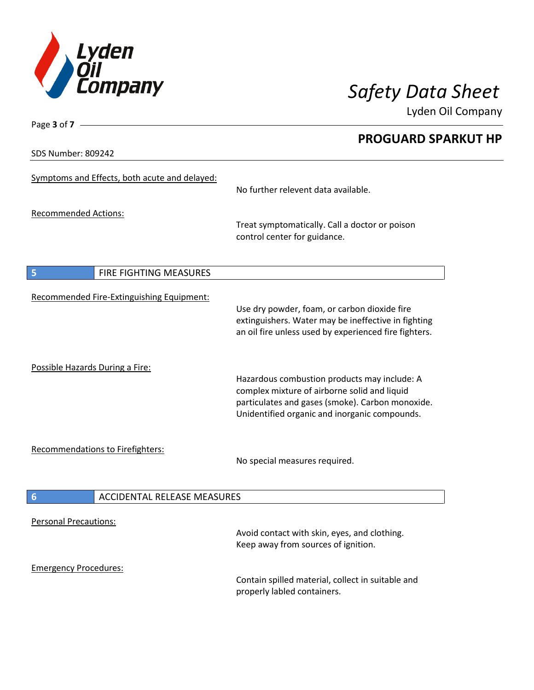

**PROGUARD SPARKUT HP**

Lyden Oil Company

SDS Number: 809242

Page **3** of **7**

| SDS Number: 809242                                    |                                                                                                                                                                                                   |
|-------------------------------------------------------|---------------------------------------------------------------------------------------------------------------------------------------------------------------------------------------------------|
| Symptoms and Effects, both acute and delayed:         | No further relevent data available.                                                                                                                                                               |
| <b>Recommended Actions:</b>                           |                                                                                                                                                                                                   |
|                                                       | Treat symptomatically. Call a doctor or poison<br>control center for guidance.                                                                                                                    |
| FIRE FIGHTING MEASURES<br>5                           |                                                                                                                                                                                                   |
|                                                       |                                                                                                                                                                                                   |
| Recommended Fire-Extinguishing Equipment:             | Use dry powder, foam, or carbon dioxide fire<br>extinguishers. Water may be ineffective in fighting<br>an oil fire unless used by experienced fire fighters.                                      |
| Possible Hazards During a Fire:                       | Hazardous combustion products may include: A<br>complex mixture of airborne solid and liquid<br>particulates and gases (smoke). Carbon monoxide.<br>Unidentified organic and inorganic compounds. |
| <b>Recommendations to Firefighters:</b>               | No special measures required.                                                                                                                                                                     |
| <b>ACCIDENTAL RELEASE MEASURES</b><br>$6\phantom{1}6$ |                                                                                                                                                                                                   |
| <b>Personal Precautions:</b>                          | Avoid contact with skin, eyes, and clothing.<br>Keep away from sources of ignition.                                                                                                               |
| <b>Emergency Procedures:</b>                          | Contain spilled material, collect in suitable and                                                                                                                                                 |

properly labled containers.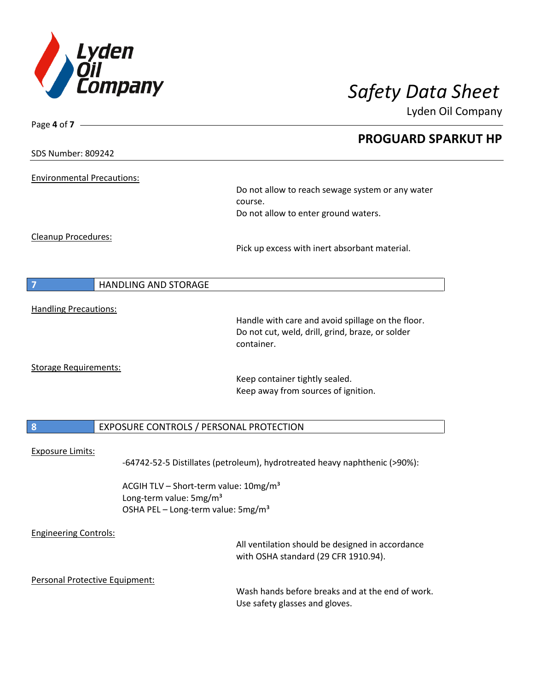

Lyden Oil Company

| Page 4 of $7 -$                   |                                                                            |  |
|-----------------------------------|----------------------------------------------------------------------------|--|
|                                   | <b>PROGUARD SPARKUT HP</b>                                                 |  |
| <b>SDS Number: 809242</b>         |                                                                            |  |
|                                   |                                                                            |  |
| <b>Environmental Precautions:</b> | Do not allow to reach sewage system or any water                           |  |
|                                   | course.                                                                    |  |
|                                   | Do not allow to enter ground waters.                                       |  |
|                                   |                                                                            |  |
| Cleanup Procedures:               |                                                                            |  |
|                                   | Pick up excess with inert absorbant material.                              |  |
|                                   |                                                                            |  |
| $\overline{7}$                    | <b>HANDLING AND STORAGE</b>                                                |  |
|                                   |                                                                            |  |
| <b>Handling Precautions:</b>      | Handle with care and avoid spillage on the floor.                          |  |
|                                   | Do not cut, weld, drill, grind, braze, or solder                           |  |
|                                   | container.                                                                 |  |
|                                   |                                                                            |  |
| <b>Storage Requirements:</b>      | Keep container tightly sealed.                                             |  |
|                                   | Keep away from sources of ignition.                                        |  |
|                                   |                                                                            |  |
| $\boldsymbol{8}$                  | EXPOSURE CONTROLS / PERSONAL PROTECTION                                    |  |
|                                   |                                                                            |  |
| <b>Exposure Limits:</b>           |                                                                            |  |
|                                   | -64742-52-5 Distillates (petroleum), hydrotreated heavy naphthenic (>90%): |  |
|                                   | ACGIH TLV - Short-term value: 10mg/m <sup>3</sup>                          |  |
|                                   | Long-term value: 5mg/m <sup>3</sup>                                        |  |
|                                   | OSHA PEL - Long-term value: 5mg/m <sup>3</sup>                             |  |
| <b>Engineering Controls:</b>      |                                                                            |  |
|                                   | All ventilation should be designed in accordance                           |  |
|                                   | with OSHA standard (29 CFR 1910.94).                                       |  |
| Personal Protective Equipment:    |                                                                            |  |
|                                   | Wash hands before breaks and at the end of work.                           |  |
|                                   | Use safety glasses and gloves.                                             |  |
|                                   |                                                                            |  |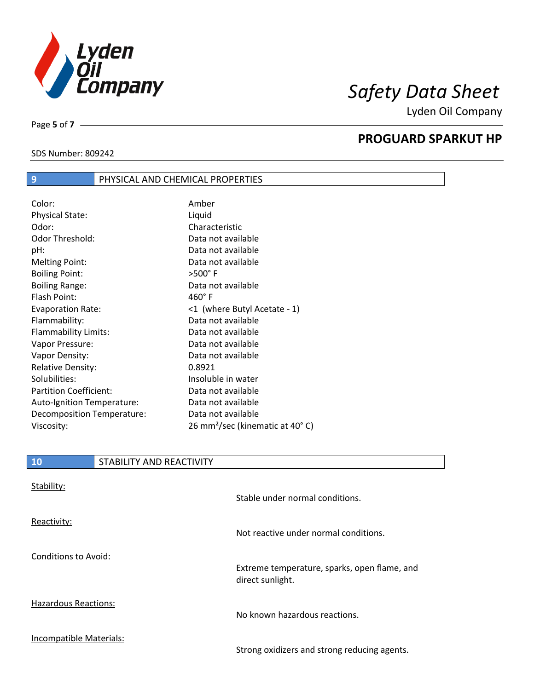

Page **5** of **7**

# **PROGUARD SPARKUT HP**

# SDS Number: 809242

| PHYSICAL AND CHEMICAL PROPERTIES |
|----------------------------------|
|                                  |

| Color:                        | Amber                                       |
|-------------------------------|---------------------------------------------|
| <b>Physical State:</b>        | Liquid                                      |
| Odor:                         | Characteristic                              |
| <b>Odor Threshold:</b>        | Data not available                          |
| pH:                           | Data not available                          |
| <b>Melting Point:</b>         | Data not available                          |
| <b>Boiling Point:</b>         | $>500^\circ$ F                              |
| <b>Boiling Range:</b>         | Data not available                          |
| Flash Point:                  | $460^\circ$ F                               |
| <b>Evaporation Rate:</b>      | <1 (where Butyl Acetate - 1)                |
| Flammability:                 | Data not available                          |
| Flammability Limits:          | Data not available                          |
| Vapor Pressure:               | Data not available                          |
| Vapor Density:                | Data not available                          |
| <b>Relative Density:</b>      | 0.8921                                      |
| Solubilities:                 | Insoluble in water                          |
| <b>Partition Coefficient:</b> | Data not available                          |
| Auto-Ignition Temperature:    | Data not available                          |
| Decomposition Temperature:    | Data not available                          |
| Viscosity:                    | 26 mm <sup>2</sup> /sec (kinematic at 40°C) |

| Stability:                  | Stable under normal conditions.                                  |
|-----------------------------|------------------------------------------------------------------|
| Reactivity:                 | Not reactive under normal conditions.                            |
| <b>Conditions to Avoid:</b> | Extreme temperature, sparks, open flame, and<br>direct sunlight. |
| <b>Hazardous Reactions:</b> | No known hazardous reactions.                                    |
| Incompatible Materials:     | Strong oxidizers and strong reducing agents.                     |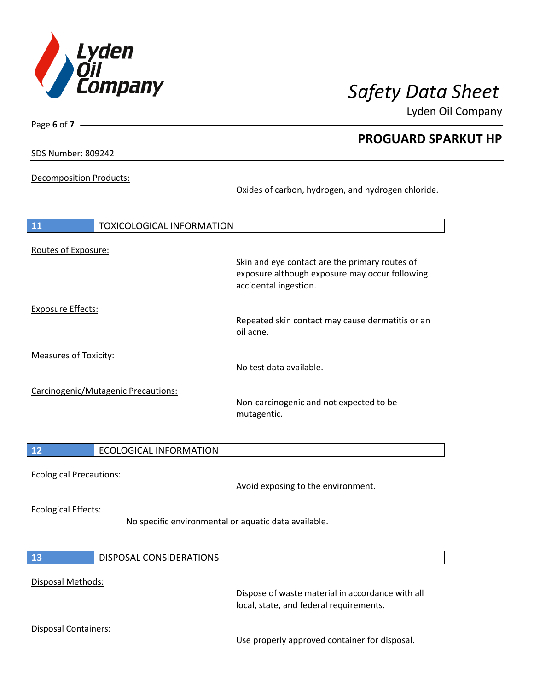

**PROGUARD SPARKUT HP**

Lyden Oil Company

SDS Number: 809242

Disposal Containers:

Page **6** of **7**

## Decomposition Products:

Oxides of carbon, hydrogen, and hydrogen chloride.

| 11                             | <b>TOXICOLOGICAL INFORMATION</b>                     |                                                                                                                           |
|--------------------------------|------------------------------------------------------|---------------------------------------------------------------------------------------------------------------------------|
|                                |                                                      |                                                                                                                           |
| Routes of Exposure:            |                                                      | Skin and eye contact are the primary routes of<br>exposure although exposure may occur following<br>accidental ingestion. |
| <b>Exposure Effects:</b>       |                                                      |                                                                                                                           |
|                                |                                                      | Repeated skin contact may cause dermatitis or an<br>oil acne.                                                             |
| <b>Measures of Toxicity:</b>   |                                                      |                                                                                                                           |
|                                |                                                      | No test data available.                                                                                                   |
|                                | Carcinogenic/Mutagenic Precautions:                  | Non-carcinogenic and not expected to be<br>mutagentic.                                                                    |
| 12                             | <b>ECOLOGICAL INFORMATION</b>                        |                                                                                                                           |
| <b>Ecological Precautions:</b> |                                                      | Avoid exposing to the environment.                                                                                        |
| <b>Ecological Effects:</b>     | No specific environmental or aquatic data available. |                                                                                                                           |
| 13                             | <b>DISPOSAL CONSIDERATIONS</b>                       |                                                                                                                           |
| Disposal Methods:              |                                                      | Dispose of waste material in accordance with all<br>local, state, and federal requirements.                               |

Use properly approved container for disposal.